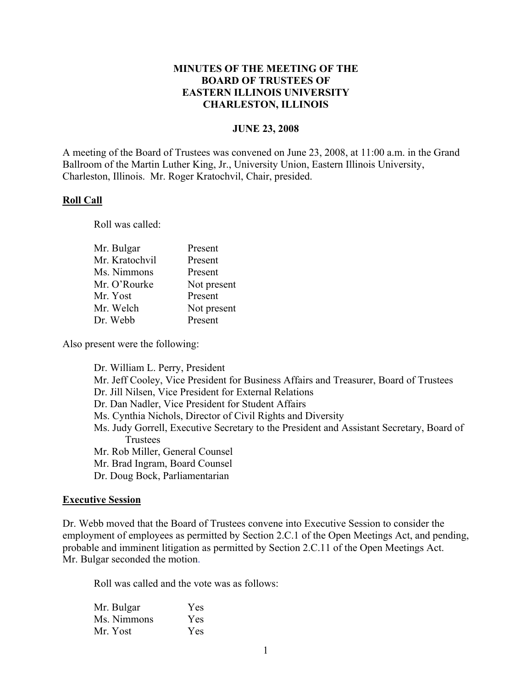## **MINUTES OF THE MEETING OF THE BOARD OF TRUSTEES OF EASTERN ILLINOIS UNIVERSITY CHARLESTON, ILLINOIS**

#### **JUNE 23, 2008**

A meeting of the Board of Trustees was convened on June 23, 2008, at 11:00 a.m. in the Grand Ballroom of the Martin Luther King, Jr., University Union, Eastern Illinois University, Charleston, Illinois. Mr. Roger Kratochvil, Chair, presided.

#### **Roll Call**

Roll was called:

| Mr. Bulgar     | Present     |
|----------------|-------------|
| Mr. Kratochvil | Present     |
| Ms. Nimmons    | Present     |
| Mr. O'Rourke   | Not present |
| Mr. Yost       | Present     |
| Mr. Welch      | Not present |
| Dr. Webb       | Present     |
|                |             |

Also present were the following:

Dr. William L. Perry, President Mr. Jeff Cooley, Vice President for Business Affairs and Treasurer, Board of Trustees Dr. Jill Nilsen, Vice President for External Relations Dr. Dan Nadler, Vice President for Student Affairs Ms. Cynthia Nichols, Director of Civil Rights and Diversity Ms. Judy Gorrell, Executive Secretary to the President and Assistant Secretary, Board of Trustees Mr. Rob Miller, General Counsel Mr. Brad Ingram, Board Counsel Dr. Doug Bock, Parliamentarian

#### **Executive Session**

Dr. Webb moved that the Board of Trustees convene into Executive Session to consider the employment of employees as permitted by Section 2.C.1 of the Open Meetings Act, and pending, probable and imminent litigation as permitted by Section 2.C.11 of the Open Meetings Act. Mr. Bulgar seconded the motion.

Roll was called and the vote was as follows:

| Mr. Bulgar  | Yes  |
|-------------|------|
| Ms. Nimmons | Yes. |
| Mr. Yost    | Yes  |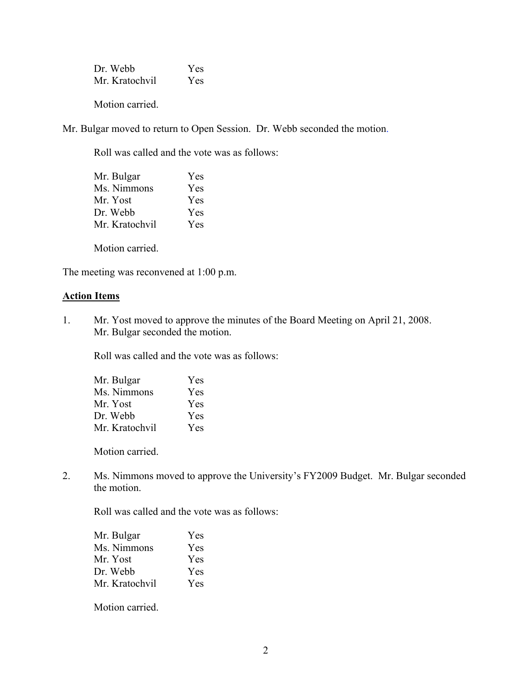Dr. Webb Yes Mr. Kratochvil Yes

Motion carried.

Mr. Bulgar moved to return to Open Session. Dr. Webb seconded the motion.

Roll was called and the vote was as follows:

| Mr. Bulgar     | <b>Yes</b> |
|----------------|------------|
| Ms. Nimmons    | Yes        |
| Mr. Yost       | <b>Yes</b> |
| Dr. Webb       | <b>Yes</b> |
| Mr. Kratochvil | Yes.       |

Motion carried.

The meeting was reconvened at 1:00 p.m.

#### **Action Items**

1. Mr. Yost moved to approve the minutes of the Board Meeting on April 21, 2008. Mr. Bulgar seconded the motion.

Roll was called and the vote was as follows:

| Mr. Bulgar     | Yes |
|----------------|-----|
| Ms. Nimmons    | Yes |
| Mr. Yost       | Yes |
| Dr. Webb       | Yes |
| Mr. Kratochvil | Yes |

Motion carried.

2. Ms. Nimmons moved to approve the University's FY2009 Budget. Mr. Bulgar seconded the motion.

Roll was called and the vote was as follows:

| Mr. Bulgar     | Yes |
|----------------|-----|
| Ms. Nimmons    | Yes |
| Mr. Yost       | Yes |
| Dr. Webb       | Yes |
| Mr. Kratochvil | Yes |

Motion carried.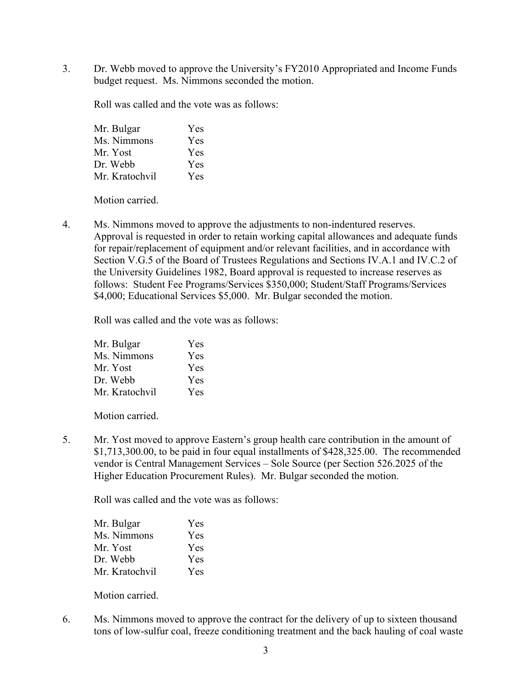3. Dr. Webb moved to approve the University's FY2010 Appropriated and Income Funds budget request. Ms. Nimmons seconded the motion.

Roll was called and the vote was as follows:

| Mr. Bulgar     | Yes |
|----------------|-----|
| Ms. Nimmons    | Yes |
| Mr. Yost       | Yes |
| Dr. Webb       | Yes |
| Mr. Kratochvil | Yes |

Motion carried.

4. Ms. Nimmons moved to approve the adjustments to non-indentured reserves. Approval is requested in order to retain working capital allowances and adequate funds for repair/replacement of equipment and/or relevant facilities, and in accordance with Section V.G.5 of the Board of Trustees Regulations and Sections IV.A.1 and IV.C.2 of the University Guidelines 1982, Board approval is requested to increase reserves as follows: Student Fee Programs/Services \$350,000; Student/Staff Programs/Services \$4,000; Educational Services \$5,000. Mr. Bulgar seconded the motion.

Roll was called and the vote was as follows:

| Yes |
|-----|
| Yes |
| Yes |
| Yes |
| Yes |
|     |

Motion carried.

5. Mr. Yost moved to approve Eastern's group health care contribution in the amount of \$1,713,300.00, to be paid in four equal installments of \$428,325.00. The recommended vendor is Central Management Services – Sole Source (per Section 526.2025 of the Higher Education Procurement Rules). Mr. Bulgar seconded the motion.

Roll was called and the vote was as follows:

| Mr. Bulgar     | <b>Yes</b> |
|----------------|------------|
| Ms. Nimmons    | Yes        |
| Mr. Yost       | Yes        |
| Dr. Webb       | Yes        |
| Mr. Kratochvil | <b>Yes</b> |

Motion carried.

6. Ms. Nimmons moved to approve the contract for the delivery of up to sixteen thousand tons of low-sulfur coal, freeze conditioning treatment and the back hauling of coal waste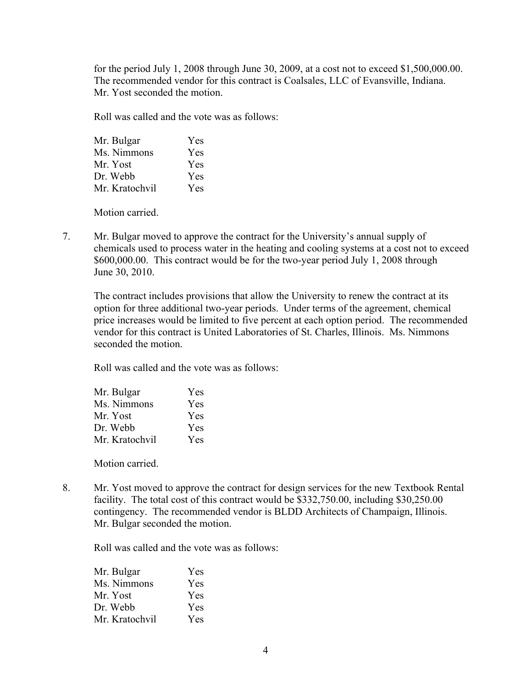for the period July 1, 2008 through June 30, 2009, at a cost not to exceed \$1,500,000.00. The recommended vendor for this contract is Coalsales, LLC of Evansville, Indiana. Mr. Yost seconded the motion.

Roll was called and the vote was as follows:

| Mr. Bulgar     | Yes |
|----------------|-----|
| Ms. Nimmons    | Yes |
| Mr. Yost       | Yes |
| Dr. Webb       | Yes |
| Mr. Kratochvil | Yes |

Motion carried.

7. Mr. Bulgar moved to approve the contract for the University's annual supply of chemicals used to process water in the heating and cooling systems at a cost not to exceed \$600,000.00. This contract would be for the two-year period July 1, 2008 through June 30, 2010.

The contract includes provisions that allow the University to renew the contract at its option for three additional two-year periods. Under terms of the agreement, chemical price increases would be limited to five percent at each option period. The recommended vendor for this contract is United Laboratories of St. Charles, Illinois. Ms. Nimmons seconded the motion.

Roll was called and the vote was as follows:

| Mr. Bulgar     | Yes |
|----------------|-----|
| Ms. Nimmons    | Yes |
| Mr. Yost       | Yes |
| Dr. Webb       | Yes |
| Mr. Kratochvil | Yes |

Motion carried.

8. Mr. Yost moved to approve the contract for design services for the new Textbook Rental facility. The total cost of this contract would be \$332,750.00, including \$30,250.00 contingency. The recommended vendor is BLDD Architects of Champaign, Illinois. Mr. Bulgar seconded the motion.

Roll was called and the vote was as follows:

| Mr. Bulgar     | Yes        |
|----------------|------------|
| Ms. Nimmons    | <b>Yes</b> |
| Mr. Yost       | <b>Yes</b> |
| Dr. Webb       | <b>Yes</b> |
| Mr. Kratochvil | <b>Yes</b> |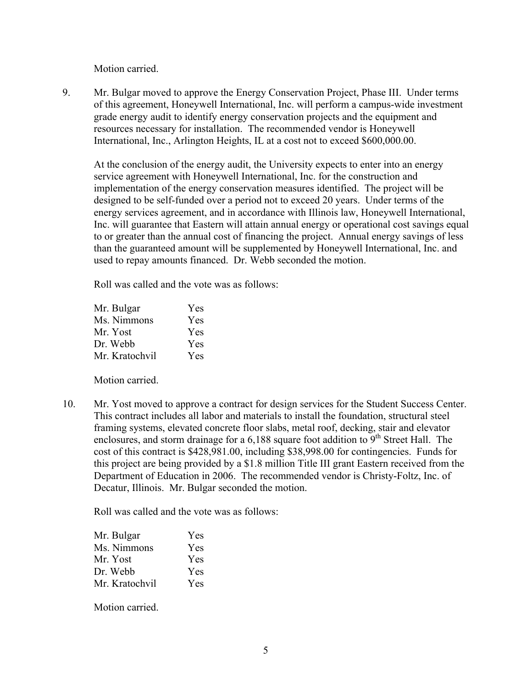Motion carried.

9. Mr. Bulgar moved to approve the Energy Conservation Project, Phase III. Under terms of this agreement, Honeywell International, Inc. will perform a campus-wide investment grade energy audit to identify energy conservation projects and the equipment and resources necessary for installation. The recommended vendor is Honeywell International, Inc., Arlington Heights, IL at a cost not to exceed \$600,000.00.

At the conclusion of the energy audit, the University expects to enter into an energy service agreement with Honeywell International, Inc. for the construction and implementation of the energy conservation measures identified. The project will be designed to be self-funded over a period not to exceed 20 years. Under terms of the energy services agreement, and in accordance with Illinois law, Honeywell International, Inc. will guarantee that Eastern will attain annual energy or operational cost savings equal to or greater than the annual cost of financing the project. Annual energy savings of less than the guaranteed amount will be supplemented by Honeywell International, Inc. and used to repay amounts financed. Dr. Webb seconded the motion.

Roll was called and the vote was as follows:

| Mr. Bulgar     | Yes        |
|----------------|------------|
| Ms. Nimmons    | Yes        |
| Mr. Yost       | Yes        |
| Dr. Webb       | Yes        |
| Mr. Kratochvil | <b>Yes</b> |

Motion carried.

10. Mr. Yost moved to approve a contract for design services for the Student Success Center. This contract includes all labor and materials to install the foundation, structural steel framing systems, elevated concrete floor slabs, metal roof, decking, stair and elevator enclosures, and storm drainage for a  $6,188$  square foot addition to  $9<sup>th</sup>$  Street Hall. The cost of this contract is \$428,981.00, including \$38,998.00 for contingencies. Funds for this project are being provided by a \$1.8 million Title III grant Eastern received from the Department of Education in 2006. The recommended vendor is Christy-Foltz, Inc. of Decatur, Illinois. Mr. Bulgar seconded the motion.

Roll was called and the vote was as follows:

| Mr. Bulgar     | Yes |
|----------------|-----|
| Ms. Nimmons    | Yes |
| Mr. Yost       | Yes |
| Dr. Webb       | Yes |
| Mr. Kratochvil | Yes |

Motion carried.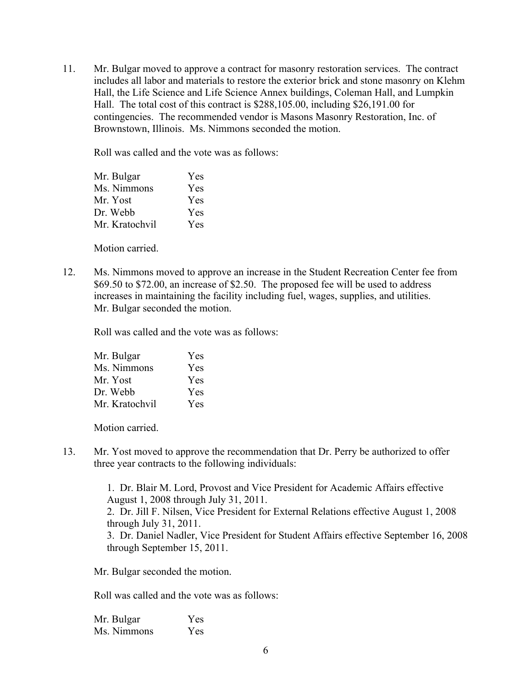11. Mr. Bulgar moved to approve a contract for masonry restoration services. The contract includes all labor and materials to restore the exterior brick and stone masonry on Klehm Hall, the Life Science and Life Science Annex buildings, Coleman Hall, and Lumpkin Hall. The total cost of this contract is \$288,105.00, including \$26,191.00 for contingencies. The recommended vendor is Masons Masonry Restoration, Inc. of Brownstown, Illinois. Ms. Nimmons seconded the motion.

Roll was called and the vote was as follows:

| Mr. Bulgar     | Yes |
|----------------|-----|
| Ms. Nimmons    | Yes |
| Mr. Yost       | Yes |
| Dr. Webb       | Yes |
| Mr. Kratochvil | Yes |

Motion carried.

12. Ms. Nimmons moved to approve an increase in the Student Recreation Center fee from \$69.50 to \$72.00, an increase of \$2.50. The proposed fee will be used to address increases in maintaining the facility including fuel, wages, supplies, and utilities. Mr. Bulgar seconded the motion.

Roll was called and the vote was as follows:

| Mr. Bulgar     | Yes |
|----------------|-----|
| Ms. Nimmons    | Yes |
| Mr. Yost       | Yes |
| Dr. Webb       | Yes |
| Mr. Kratochvil | Yes |

Motion carried.

13. Mr. Yost moved to approve the recommendation that Dr. Perry be authorized to offer three year contracts to the following individuals:

> 1. Dr. Blair M. Lord, Provost and Vice President for Academic Affairs effective August 1, 2008 through July 31, 2011. 2. Dr. Jill F. Nilsen, Vice President for External Relations effective August 1, 2008 through July 31, 2011. 3. Dr. Daniel Nadler, Vice President for Student Affairs effective September 16, 2008 through September 15, 2011.

Mr. Bulgar seconded the motion.

Roll was called and the vote was as follows:

Mr. Bulgar Yes Ms. Nimmons Yes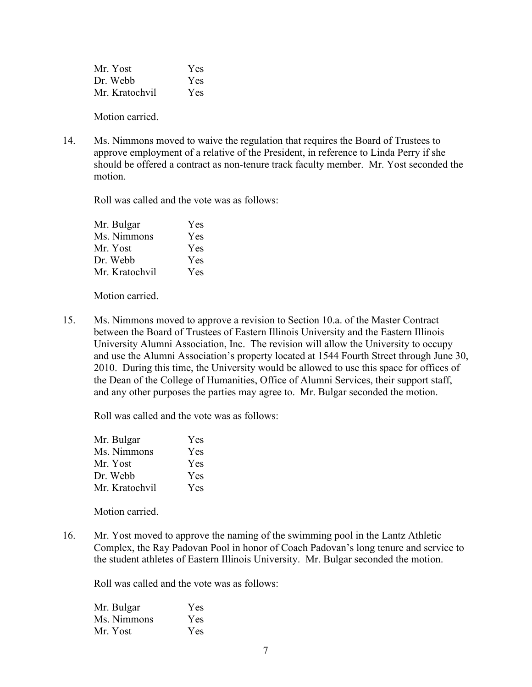Mr. Yost Yes Dr. Webb Yes Mr. Kratochvil Yes

Motion carried.

14. Ms. Nimmons moved to waive the regulation that requires the Board of Trustees to approve employment of a relative of the President, in reference to Linda Perry if she should be offered a contract as non-tenure track faculty member. Mr. Yost seconded the motion.

Roll was called and the vote was as follows:

| Mr. Bulgar     | Yes |
|----------------|-----|
| Ms. Nimmons    | Yes |
| Mr. Yost       | Yes |
| Dr. Webb       | Yes |
| Mr. Kratochvil | Yes |

Motion carried.

15. Ms. Nimmons moved to approve a revision to Section 10.a. of the Master Contract between the Board of Trustees of Eastern Illinois University and the Eastern Illinois University Alumni Association, Inc. The revision will allow the University to occupy and use the Alumni Association's property located at 1544 Fourth Street through June 30, 2010. During this time, the University would be allowed to use this space for offices of the Dean of the College of Humanities, Office of Alumni Services, their support staff, and any other purposes the parties may agree to. Mr. Bulgar seconded the motion.

Roll was called and the vote was as follows:

| Mr. Bulgar     | Yes |
|----------------|-----|
| Ms. Nimmons    | Yes |
| Mr. Yost       | Yes |
| Dr. Webb       | Yes |
| Mr. Kratochvil | Yes |

Motion carried.

16. Mr. Yost moved to approve the naming of the swimming pool in the Lantz Athletic Complex, the Ray Padovan Pool in honor of Coach Padovan's long tenure and service to the student athletes of Eastern Illinois University. Mr. Bulgar seconded the motion.

Roll was called and the vote was as follows:

| Mr. Bulgar  | Yes |
|-------------|-----|
| Ms. Nimmons | Yes |
| Mr. Yost    | Yes |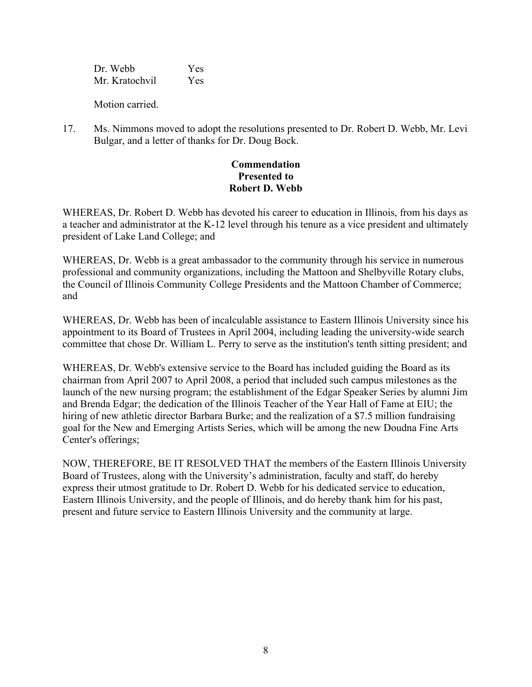Dr. Webb Yes Mr. Kratochvil Yes

Motion carried.

17. Ms. Nimmons moved to adopt the resolutions presented to Dr. Robert D. Webb, Mr. Levi Bulgar, and a letter of thanks for Dr. Doug Bock.

# **Commendation Presented to Robert D. Webb**

WHEREAS, Dr. Robert D. Webb has devoted his career to education in Illinois, from his days as a teacher and administrator at the K-12 level through his tenure as a vice president and ultimately president of Lake Land College; and

WHEREAS, Dr. Webb is a great ambassador to the community through his service in numerous professional and community organizations, including the Mattoon and Shelbyville Rotary clubs, the Council of Illinois Community College Presidents and the Mattoon Chamber of Commerce; and

WHEREAS, Dr. Webb has been of incalculable assistance to Eastern Illinois University since his appointment to its Board of Trustees in April 2004, including leading the university-wide search committee that chose Dr. William L. Perry to serve as the institution's tenth sitting president; and

WHEREAS, Dr. Webb's extensive service to the Board has included guiding the Board as its chairman from April 2007 to April 2008, a period that included such campus milestones as the launch of the new nursing program; the establishment of the Edgar Speaker Series by alumni Jim and Brenda Edgar; the dedication of the Illinois Teacher of the Year Hall of Fame at EIU; the hiring of new athletic director Barbara Burke; and the realization of a \$7.5 million fundraising goal for the New and Emerging Artists Series, which will be among the new Doudna Fine Arts Center's offerings;

NOW, THEREFORE, BE IT RESOLVED THAT the members of the Eastern Illinois University Board of Trustees, along with the University's administration, faculty and staff, do hereby express their utmost gratitude to Dr. Robert D. Webb for his dedicated service to education, Eastern Illinois University, and the people of Illinois, and do hereby thank him for his past, present and future service to Eastern Illinois University and the community at large.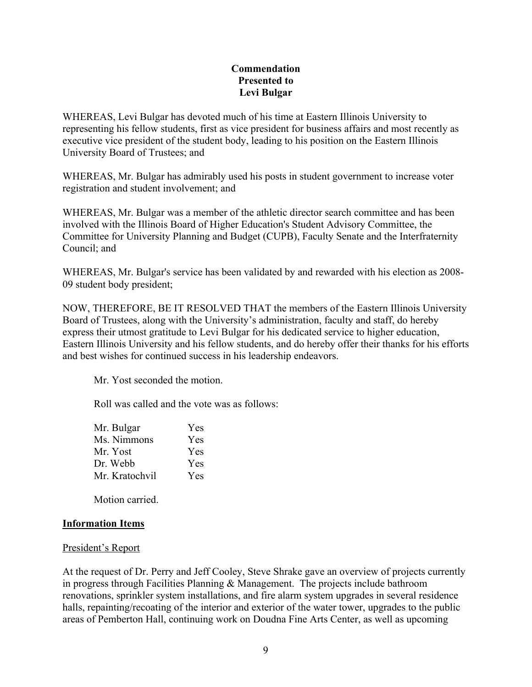## **Commendation Presented to Levi Bulgar**

WHEREAS, Levi Bulgar has devoted much of his time at Eastern Illinois University to representing his fellow students, first as vice president for business affairs and most recently as executive vice president of the student body, leading to his position on the Eastern Illinois University Board of Trustees; and

WHEREAS, Mr. Bulgar has admirably used his posts in student government to increase voter registration and student involvement; and

WHEREAS, Mr. Bulgar was a member of the athletic director search committee and has been involved with the Illinois Board of Higher Education's Student Advisory Committee, the Committee for University Planning and Budget (CUPB), Faculty Senate and the Interfraternity Council; and

WHEREAS, Mr. Bulgar's service has been validated by and rewarded with his election as 2008- 09 student body president;

NOW, THEREFORE, BE IT RESOLVED THAT the members of the Eastern Illinois University Board of Trustees, along with the University's administration, faculty and staff, do hereby express their utmost gratitude to Levi Bulgar for his dedicated service to higher education, Eastern Illinois University and his fellow students, and do hereby offer their thanks for his efforts and best wishes for continued success in his leadership endeavors.

Mr. Yost seconded the motion.

Roll was called and the vote was as follows:

| Yes        |
|------------|
| Yes        |
| Yes        |
| Yes        |
| <b>Yes</b> |
|            |

Motion carried.

## **Information Items**

## President's Report

At the request of Dr. Perry and Jeff Cooley, Steve Shrake gave an overview of projects currently in progress through Facilities Planning & Management. The projects include bathroom renovations, sprinkler system installations, and fire alarm system upgrades in several residence halls, repainting/recoating of the interior and exterior of the water tower, upgrades to the public areas of Pemberton Hall, continuing work on Doudna Fine Arts Center, as well as upcoming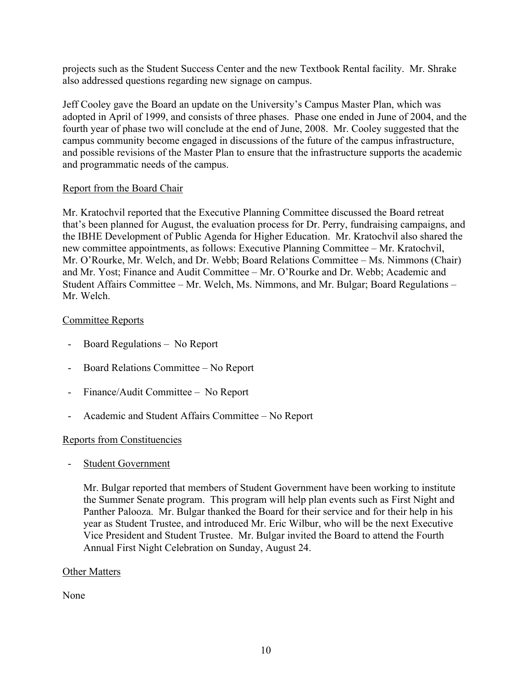projects such as the Student Success Center and the new Textbook Rental facility. Mr. Shrake also addressed questions regarding new signage on campus.

Jeff Cooley gave the Board an update on the University's Campus Master Plan, which was adopted in April of 1999, and consists of three phases. Phase one ended in June of 2004, and the fourth year of phase two will conclude at the end of June, 2008. Mr. Cooley suggested that the campus community become engaged in discussions of the future of the campus infrastructure, and possible revisions of the Master Plan to ensure that the infrastructure supports the academic and programmatic needs of the campus.

## Report from the Board Chair

Mr. Kratochvil reported that the Executive Planning Committee discussed the Board retreat that's been planned for August, the evaluation process for Dr. Perry, fundraising campaigns, and the IBHE Development of Public Agenda for Higher Education. Mr. Kratochvil also shared the new committee appointments, as follows: Executive Planning Committee – Mr. Kratochvil, Mr. O'Rourke, Mr. Welch, and Dr. Webb; Board Relations Committee – Ms. Nimmons (Chair) and Mr. Yost; Finance and Audit Committee – Mr. O'Rourke and Dr. Webb; Academic and Student Affairs Committee – Mr. Welch, Ms. Nimmons, and Mr. Bulgar; Board Regulations – Mr. Welch.

## Committee Reports

- Board Regulations No Report
- Board Relations Committee No Report
- Finance/Audit Committee No Report
- Academic and Student Affairs Committee No Report

# Reports from Constituencies

- Student Government

Mr. Bulgar reported that members of Student Government have been working to institute the Summer Senate program. This program will help plan events such as First Night and Panther Palooza. Mr. Bulgar thanked the Board for their service and for their help in his year as Student Trustee, and introduced Mr. Eric Wilbur, who will be the next Executive Vice President and Student Trustee. Mr. Bulgar invited the Board to attend the Fourth Annual First Night Celebration on Sunday, August 24.

## Other Matters

None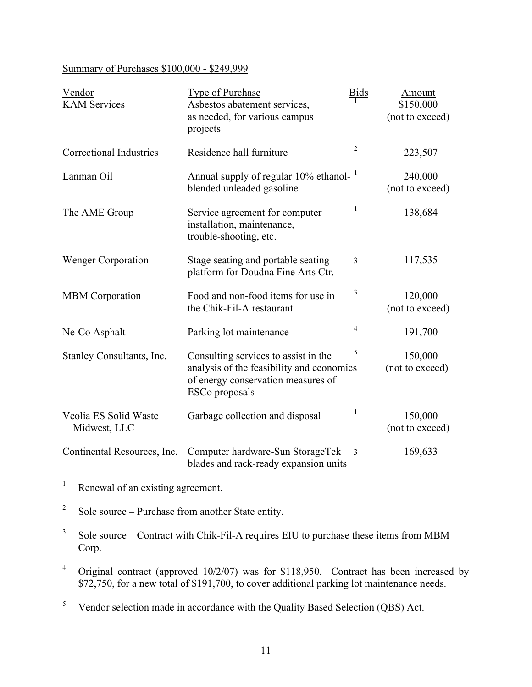# Summary of Purchases \$100,000 - \$249,999

| Vendor<br><b>KAM Services</b>         | Type of Purchase<br>Asbestos abatement services,<br>as needed, for various campus<br>projects                                             | <b>Bids</b>             | Amount<br>\$150,000<br>(not to exceed) |
|---------------------------------------|-------------------------------------------------------------------------------------------------------------------------------------------|-------------------------|----------------------------------------|
| <b>Correctional Industries</b>        | Residence hall furniture                                                                                                                  | $\overline{c}$          | 223,507                                |
| Lanman Oil                            | Annual supply of regular 10% ethanol-<br>blended unleaded gasoline                                                                        |                         | 240,000<br>(not to exceed)             |
| The AME Group                         | Service agreement for computer<br>installation, maintenance,<br>trouble-shooting, etc.                                                    | 1                       | 138,684                                |
| <b>Wenger Corporation</b>             | Stage seating and portable seating<br>platform for Doudna Fine Arts Ctr.                                                                  | 3                       | 117,535                                |
| <b>MBM</b> Corporation                | Food and non-food items for use in<br>the Chik-Fil-A restaurant                                                                           | 3                       | 120,000<br>(not to exceed)             |
| Ne-Co Asphalt                         | Parking lot maintenance                                                                                                                   | $\overline{4}$          | 191,700                                |
| Stanley Consultants, Inc.             | Consulting services to assist in the<br>analysis of the feasibility and economics<br>of energy conservation measures of<br>ESCo proposals | 5                       | 150,000<br>(not to exceed)             |
| Veolia ES Solid Waste<br>Midwest, LLC | Garbage collection and disposal                                                                                                           | 1                       | 150,000<br>(not to exceed)             |
| Continental Resources, Inc.           | Computer hardware-Sun StorageTek<br>blades and rack-ready expansion units                                                                 | $\overline{\mathbf{3}}$ | 169,633                                |

<sup>1</sup> Renewal of an existing agreement.

 $2^{\circ}$  Sole source – Purchase from another State entity.

 $3$  Sole source – Contract with Chik-Fil-A requires EIU to purchase these items from MBM Corp.

<sup>4</sup> Original contract (approved 10/2/07) was for \$118,950. Contract has been increased by \$72,750, for a new total of \$191,700, to cover additional parking lot maintenance needs.

<sup>5</sup> Vendor selection made in accordance with the Quality Based Selection (QBS) Act.